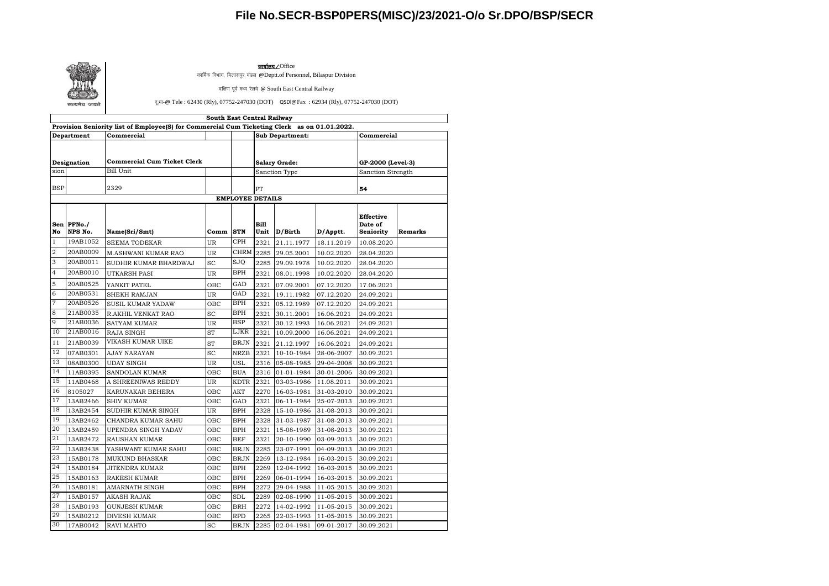## **File No.SECR-BSP0PERS(MISC)/23/2021-O/o Sr.DPO/BSP/SECR**



<u>कार्यालय /</u>Office

कार्मिक विभाग, बिलासपुर मंडल @Deptt.of Personnel, Bilaspur Division

दक्षिण पूर्व मध्य रेलवे @ South East Central Railway

दू: भा-@ Tele : 62430 (Rly), 07752-247030 (DOT) QSDl@Fax : 62934 (Rly), 07752-247030 (DOT)

| South East Central Railway<br>Provision Seniority list of Employee(S) for Commercial Cum Ticketing Clerk as on 01.01.2022. |                       |                                    |           |                      |                     |                        |                   |                                          |                |  |  |  |
|----------------------------------------------------------------------------------------------------------------------------|-----------------------|------------------------------------|-----------|----------------------|---------------------|------------------------|-------------------|------------------------------------------|----------------|--|--|--|
| Department                                                                                                                 |                       | Commercial                         |           |                      |                     | <b>Sub Department:</b> | Commercial        |                                          |                |  |  |  |
| Designation<br>sion                                                                                                        |                       | <b>Commercial Cum Ticket Clerk</b> |           | <b>Salary Grade:</b> |                     |                        | GP-2000 (Level-3) |                                          |                |  |  |  |
|                                                                                                                            |                       | <b>Bill Unit</b>                   |           |                      | Sanction Type       |                        | Sanction Strength |                                          |                |  |  |  |
|                                                                                                                            |                       |                                    |           |                      |                     |                        |                   |                                          |                |  |  |  |
| <b>BSP</b>                                                                                                                 |                       | 2329                               |           |                      | PT                  |                        |                   | 54                                       |                |  |  |  |
| <b>EMPLOYEE DETAILS</b>                                                                                                    |                       |                                    |           |                      |                     |                        |                   |                                          |                |  |  |  |
| No                                                                                                                         | Sen PFNo./<br>NPS No. | Name(Sri/Smt)                      | Comm      | <b>STN</b>           | <b>Bill</b><br>Unit | D/Birth                | D/Apptt.          | <b>Effective</b><br>Date of<br>Seniority | <b>Remarks</b> |  |  |  |
| $\mathbf{1}$                                                                                                               | 19AB1052              |                                    |           | <b>CPH</b>           |                     |                        |                   |                                          |                |  |  |  |
| 2                                                                                                                          | 20AB0009              | <b>SEEMA TODEKAR</b>               | UR<br>UR  | CHRM                 | 2321                | 21.11.1977             | 18.11.2019        | 10.08.2020                               |                |  |  |  |
| 3                                                                                                                          | 20AB0011              | <b>M.ASHWANI KUMAR RAO</b>         |           | SJQ                  | 2285                | 29.05.2001             | 10.02.2020        | 28.04.2020                               |                |  |  |  |
| 4                                                                                                                          |                       | SUDHIR KUMAR BHARDWAJ              | SC        | <b>BPH</b>           | 2285                | 29.09.1978             | 10.02.2020        | 28.04.2020                               |                |  |  |  |
|                                                                                                                            | 20AB0010              | UTKARSH PASI                       | <b>UR</b> |                      | 2321                | 08.01.1998             | 10.02.2020        | 28.04.2020                               |                |  |  |  |
| 5                                                                                                                          | 20AB0525              | YANKIT PATEL                       | OBC       | GAD                  | 2321                | 07.09.2001             | 07.12.2020        | 17.06.2021                               |                |  |  |  |
| 6                                                                                                                          | 20AB0531              | <b>SHEKH RAMJAN</b>                | <b>UR</b> | GAD                  | 2321                | 19.11.1982             | 07.12.2020        | 24.09.2021                               |                |  |  |  |
| $\overline{7}$                                                                                                             | 20AB0526              | <b>SUSIL KUMAR YADAW</b>           | OBC       | <b>BPH</b>           | 2321                | 05.12.1989             | 07.12.2020        | 24.09.2021                               |                |  |  |  |
| 8                                                                                                                          | 21AB0035              | R.AKHIL VENKAT RAO                 | SC        | BPH                  | 2321                | 30.11.2001             | 16.06.2021        | 24.09.2021                               |                |  |  |  |
| 9                                                                                                                          | 21AB0036              | <b>SATYAM KUMAR</b>                | UR        | <b>BSP</b>           | 2321                | 30.12.1993             | 16.06.2021        | 24.09.2021                               |                |  |  |  |
| 10                                                                                                                         | 21AB0016              | <b>RAJA SINGH</b>                  | <b>ST</b> | LJKR                 | 2321                | 10.09.2000             | 16.06.2021        | 24.09.2021                               |                |  |  |  |
| 11                                                                                                                         | 21AB0039              | VIKASH KUMAR UIKE                  | <b>ST</b> | <b>BRJN</b>          | 2321                | 21.12.1997             | 16.06.2021        | 24.09.2021                               |                |  |  |  |
| 12                                                                                                                         | 07AB0301              | <b>AJAY NARAYAN</b>                | SC        | <b>NRZB</b>          | 2321                | 10-10-1984             | 28-06-2007        | 30.09.2021                               |                |  |  |  |
| 13                                                                                                                         | 08AB0300              | <b>UDAY SINGH</b>                  | UR        | <b>USL</b>           | 2316                | 05-08-1985             | 29-04-2008        | 30.09.2021                               |                |  |  |  |
| 14                                                                                                                         | 11AB0395              | SANDOLAN KUMAR                     | OBC       | <b>BUA</b>           | 2316                | 01-01-1984             | 30-01-2006        | 30.09.2021                               |                |  |  |  |
| 15                                                                                                                         | 11AB0468              | A SHREENIWAS REDDY                 | UR        | <b>KDTR</b>          | 2321                | 03-03-1986             | 11.08.2011        | 30.09.2021                               |                |  |  |  |
| 16                                                                                                                         | 8105027               | KARUNAKAR BEHERA                   | OBC       | AKT                  | 2270                | 16-03-1981             | 31-03-2010        | 30.09.2021                               |                |  |  |  |
| 17                                                                                                                         | 13AB2466              | <b>SHIV KUMAR</b>                  | OBC       | GAD                  | 2321                | 06-11-1984             | 25-07-2013        | 30.09.2021                               |                |  |  |  |
| 18                                                                                                                         | 13AB2454              | SUDHIR KUMAR SINGH                 | <b>UR</b> | <b>BPH</b>           | 2328                | 15-10-1986             | 31-08-2013        | 30.09.2021                               |                |  |  |  |
| 19                                                                                                                         | 13AB2462              | CHANDRA KUMAR SAHU                 | OBC       | <b>BPH</b>           | 2328                | 31-03-1987             | 31-08-2013        | 30.09.2021                               |                |  |  |  |
| 20<br>21                                                                                                                   | 13AB2459              | UPENDRA SINGH YADAV                | OBC       | <b>BPH</b>           | 2321                | 15-08-1989             | 31-08-2013        | 30.09.2021                               |                |  |  |  |
| 22                                                                                                                         | 13AB2472              | RAUSHAN KUMAR                      | OBC       | <b>BEF</b>           | 2321                | 20-10-1990             | 03-09-2013        | 30.09.2021                               |                |  |  |  |
| 23                                                                                                                         | 13AB2438              | YASHWANT KUMAR SAHU                | OBC       | <b>BRJN</b>          | 2285                | 23-07-1991             | 04-09-2013        | 30.09.2021                               |                |  |  |  |
| 24                                                                                                                         | 15AB0178              | <b>MUKUND BHASKAR</b>              | OBC       | <b>BRJN</b>          | 2269                | 13-12-1984             | 16-03-2015        | 30.09.2021                               |                |  |  |  |
|                                                                                                                            | 15AB0184              | JITENDRA KUMAR                     | OBC       | <b>BPH</b>           | 2269                | 12-04-1992             | 16-03-2015        | 30.09.2021                               |                |  |  |  |
| 25                                                                                                                         | 15AB0163              | <b>RAKESH KUMAR</b>                | OBC       | <b>BPH</b>           | 2269                | 06-01-1994             | 16-03-2015        | 30.09.2021                               |                |  |  |  |
| 26<br>27                                                                                                                   | 15AB0181              | AMARNATH SINGH                     | OBC       | <b>BPH</b>           | 2272                | 29-04-1988             | 11-05-2015        | 30.09.2021                               |                |  |  |  |
| 28                                                                                                                         | 15AB0157              | AKASH RAJAK                        | OBC       | <b>SDL</b>           | 2289                | 02-08-1990             | 11-05-2015        | 30.09.2021                               |                |  |  |  |
|                                                                                                                            | 15AB0193              | <b>GUNJESH KUMAR</b>               | OBC       | <b>BRH</b>           | 2272                | 14-02-1992             | 11-05-2015        | 30.09.2021                               |                |  |  |  |
| 29<br>30                                                                                                                   | 15AB0212              | <b>DIVESH KUMAR</b>                | OBC       | <b>RPD</b>           | 2265                | 22-03-1993             | 11-05-2015        | 30.09.2021                               |                |  |  |  |
|                                                                                                                            | 17AB0042              | <b>RAVI MAHTO</b>                  | <b>SC</b> | <b>BRJN</b>          | 2285                | 02-04-1981             | 09-01-2017        | 30.09.2021                               |                |  |  |  |